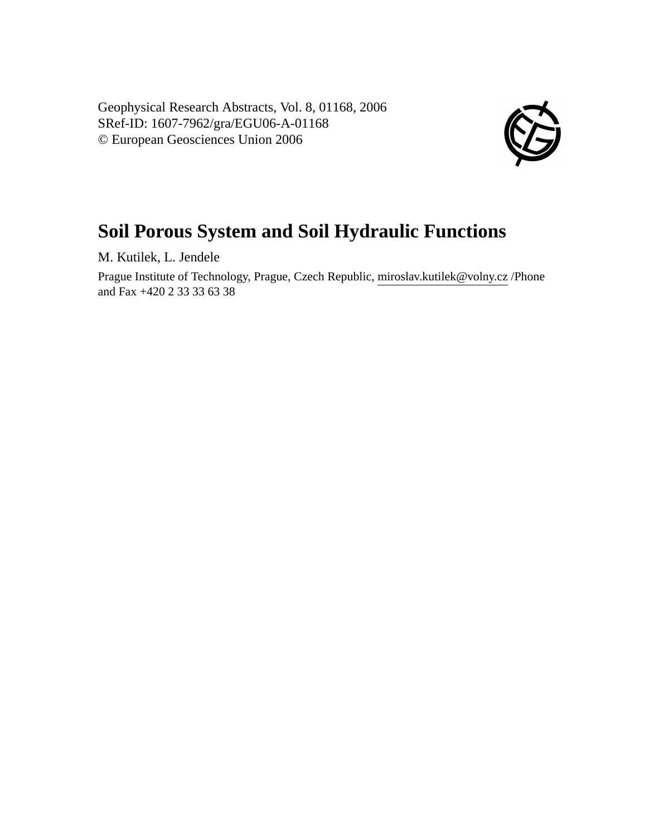Geophysical Research Abstracts, Vol. 8, 01168, 2006 SRef-ID: 1607-7962/gra/EGU06-A-01168 © European Geosciences Union 2006



## **Soil Porous System and Soil Hydraulic Functions**

M. Kutilek, L. Jendele

Prague Institute of Technology, Prague, Czech Republic, miroslav.kutilek@volny.cz /Phone and Fax +420 2 33 33 63 38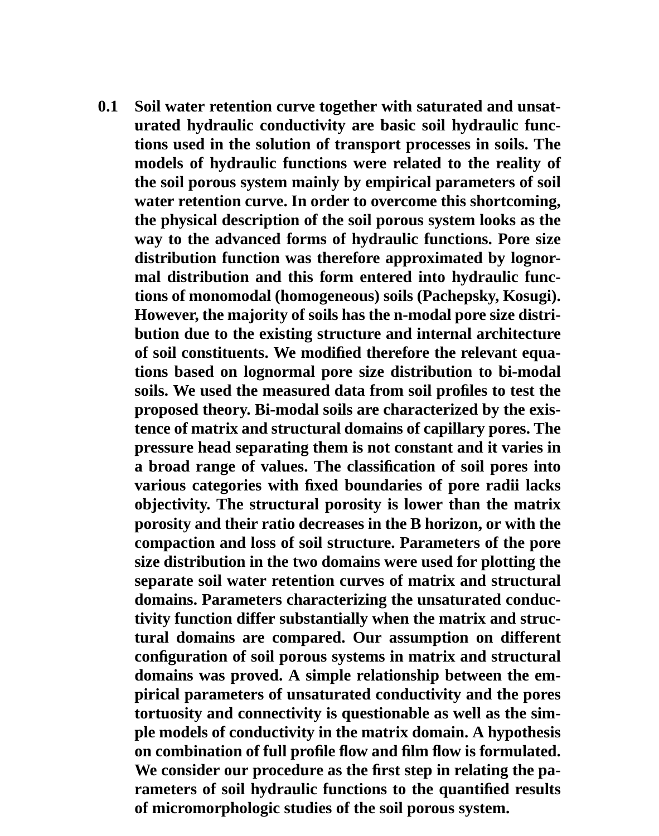**0.1 Soil water retention curve together with saturated and unsaturated hydraulic conductivity are basic soil hydraulic functions used in the solution of transport processes in soils. The models of hydraulic functions were related to the reality of the soil porous system mainly by empirical parameters of soil water retention curve. In order to overcome this shortcoming, the physical description of the soil porous system looks as the way to the advanced forms of hydraulic functions. Pore size distribution function was therefore approximated by lognormal distribution and this form entered into hydraulic functions of monomodal (homogeneous) soils (Pachepsky, Kosugi). However, the majority of soils has the n-modal pore size distribution due to the existing structure and internal architecture of soil constituents. We modified therefore the relevant equations based on lognormal pore size distribution to bi-modal soils. We used the measured data from soil profiles to test the proposed theory. Bi-modal soils are characterized by the existence of matrix and structural domains of capillary pores. The pressure head separating them is not constant and it varies in a broad range of values. The classification of soil pores into various categories with fixed boundaries of pore radii lacks objectivity. The structural porosity is lower than the matrix porosity and their ratio decreases in the B horizon, or with the compaction and loss of soil structure. Parameters of the pore size distribution in the two domains were used for plotting the separate soil water retention curves of matrix and structural domains. Parameters characterizing the unsaturated conductivity function differ substantially when the matrix and structural domains are compared. Our assumption on different configuration of soil porous systems in matrix and structural domains was proved. A simple relationship between the empirical parameters of unsaturated conductivity and the pores tortuosity and connectivity is questionable as well as the simple models of conductivity in the matrix domain. A hypothesis on combination of full profile flow and film flow is formulated. We consider our procedure as the first step in relating the parameters of soil hydraulic functions to the quantified results of micromorphologic studies of the soil porous system.**